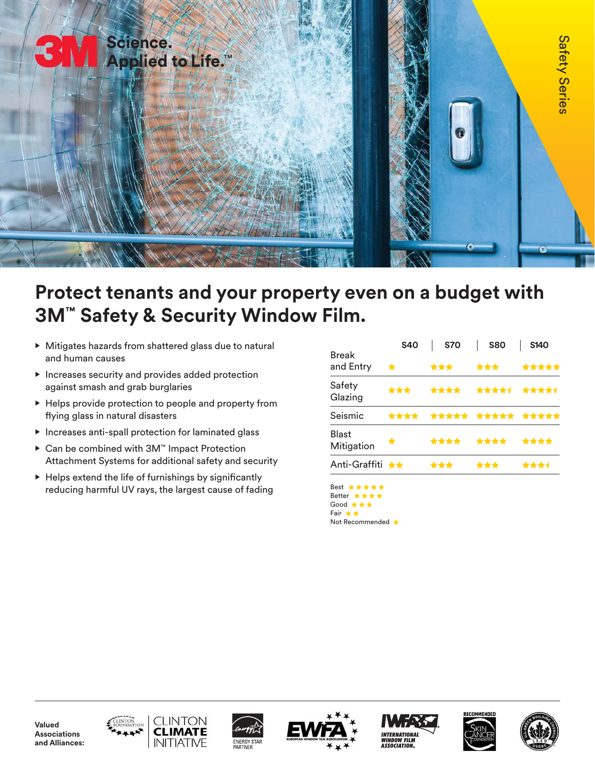

# **Protect tenants and your property even on a budget with 3M™ Safety & Security Window Film.**

- Mitigates hazards from shattered glass due to natural and human causes
- Increases security and provides added protection against smash and grab burglaries
- Helps provide protection to people and property from flying glass in natural disasters
- Increases anti-spall protection for laminated glass
- Can be combined with 3M™ Impact Protection Attachment Systems for additional safety and security
- $\blacktriangleright$  Helps extend the life of furnishings by significantly reducing harmful UV rays, the largest cause of fading

|                            | <b>S40</b> | <b>S70</b> | <b>S80</b>       | <b>S140</b> |  |
|----------------------------|------------|------------|------------------|-------------|--|
| <b>Break</b><br>and Entry  | ★          | ***        | ***              | *****       |  |
| Safety<br>Glazing          | ***        | ****       | ****1            | ****1       |  |
| Seismic                    | ****       |            | ***** ***** **** |             |  |
| <b>Blast</b><br>Mitigation | $\bigstar$ |            | ****             | ****        |  |
| Anti-Graffiti ★★           |            | ***        | ***              | ****        |  |

Best \*\*\*\*\* Better \* \* \* \* Good ★★★ Fair \*\* Not Recommended